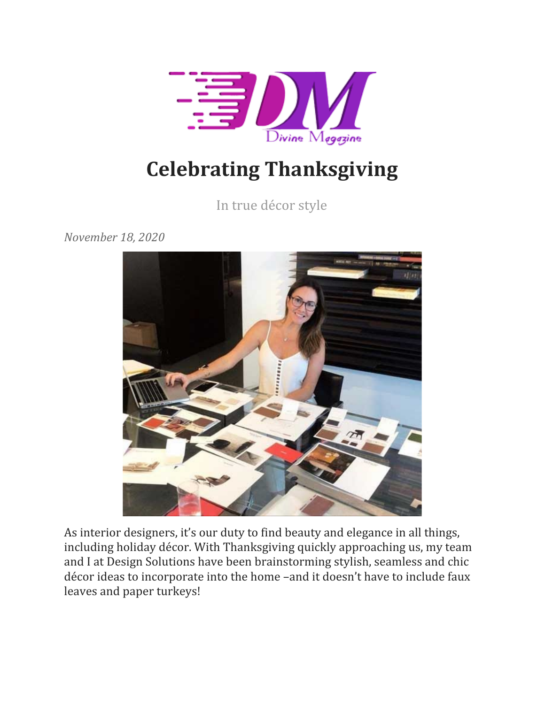

## **Celebrating Thanksgiving**

In true décor style

*November 18, 2020*



As interior designers, it's our duty to find beauty and elegance in all things, including holiday décor. With Thanksgiving quickly approaching us, my team and I at Design Solutions have been brainstorming stylish, seamless and chic décor ideas to incorporate into the home –and it doesn't have to include faux leaves and paper turkeys!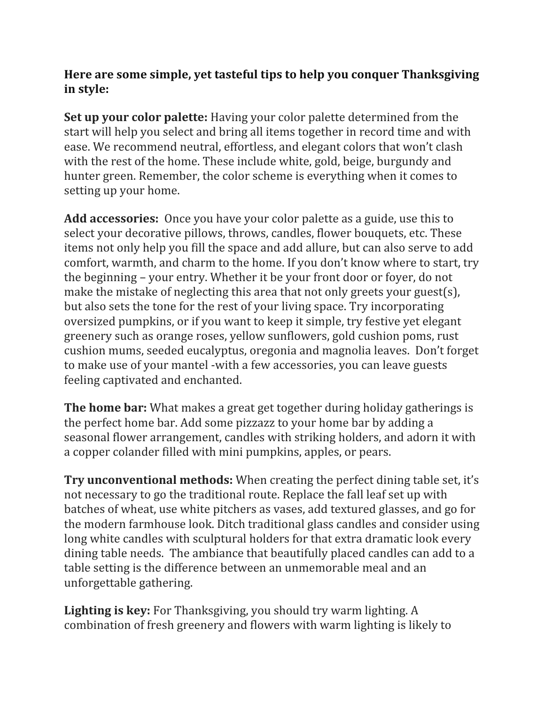## **Here are some simple, yet tasteful tips to help you conquer Thanksgiving in style:**

**Set up your color palette:** Having your color palette determined from the start will help you select and bring all items together in record time and with ease. We recommend neutral, effortless, and elegant colors that won't clash with the rest of the home. These include white, gold, beige, burgundy and hunter green. Remember, the color scheme is everything when it comes to setting up your home.

**Add accessories:** Once you have your color palette as a guide, use this to select your decorative pillows, throws, candles, flower bouquets, etc. These items not only help you fill the space and add allure, but can also serve to add comfort, warmth, and charm to the home. If you don't know where to start, try the beginning – your entry. Whether it be your front door or foyer, do not make the mistake of neglecting this area that not only greets your guest(s), but also sets the tone for the rest of your living space. Try incorporating oversized pumpkins, or if you want to keep it simple, try festive yet elegant greenery such as orange roses, yellow sunflowers, gold cushion poms, rust cushion mums, seeded eucalyptus, oregonia and magnolia leaves. Don't forget to make use of your mantel -with a few accessories, you can leave guests feeling captivated and enchanted.

**The home bar:** What makes a great get together during holiday gatherings is the perfect home bar. Add some pizzazz to your home bar by adding a seasonal flower arrangement, candles with striking holders, and adorn it with a copper colander filled with mini pumpkins, apples, or pears.

**Try unconventional methods:** When creating the perfect dining table set, it's not necessary to go the traditional route. Replace the fall leaf set up with batches of wheat, use white pitchers as vases, add textured glasses, and go for the modern farmhouse look. Ditch traditional glass candles and consider using long white candles with sculptural holders for that extra dramatic look every dining table needs. The ambiance that beautifully placed candles can add to a table setting is the difference between an unmemorable meal and an unforgettable gathering.

**Lighting is key:** For Thanksgiving, you should try warm lighting. A combination of fresh greenery and flowers with warm lighting is likely to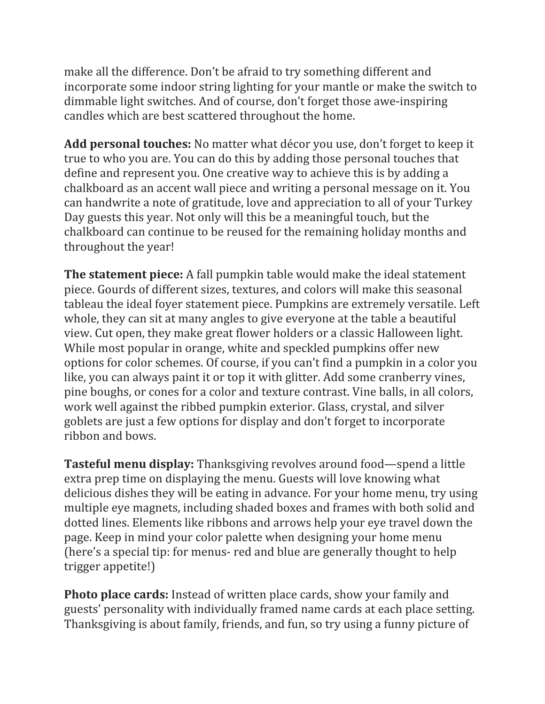make all the difference. Don't be afraid to try something different and incorporate some indoor string lighting for your mantle or make the switch to dimmable light switches. And of course, don't forget those awe-inspiring candles which are best scattered throughout the home.

**Add personal touches:** No matter what décor you use, don't forget to keep it true to who you are. You can do this by adding those personal touches that define and represent you. One creative way to achieve this is by adding a chalkboard as an accent wall piece and writing a personal message on it. You can handwrite a note of gratitude, love and appreciation to all of your Turkey Day guests this year. Not only will this be a meaningful touch, but the chalkboard can continue to be reused for the remaining holiday months and throughout the year!

**The statement piece:** A fall pumpkin table would make the ideal statement piece. Gourds of different sizes, textures, and colors will make this seasonal tableau the ideal foyer statement piece. Pumpkins are extremely versatile. Left whole, they can sit at many angles to give everyone at the table a beautiful view. Cut open, they make great flower holders or a classic Halloween light. While most popular in orange, white and speckled pumpkins offer new options for color schemes. Of course, if you can't find a pumpkin in a color you like, you can always paint it or top it with glitter. Add some cranberry vines, pine boughs, or cones for a color and texture contrast. Vine balls, in all colors, work well against the ribbed pumpkin exterior. Glass, crystal, and silver goblets are just a few options for display and don't forget to incorporate ribbon and bows.

**Tasteful menu display:** Thanksgiving revolves around food—spend a little extra prep time on displaying the menu. Guests will love knowing what delicious dishes they will be eating in advance. For your home menu, try using multiple eye magnets, including shaded boxes and frames with both solid and dotted lines. Elements like ribbons and arrows help your eye travel down the page. Keep in mind your color palette when designing your home menu (here's a special tip: for menus- red and blue are generally thought to help trigger appetite!)

**Photo place cards:** Instead of written place cards, show your family and guests' personality with individually framed name cards at each place setting. Thanksgiving is about family, friends, and fun, so try using a funny picture of